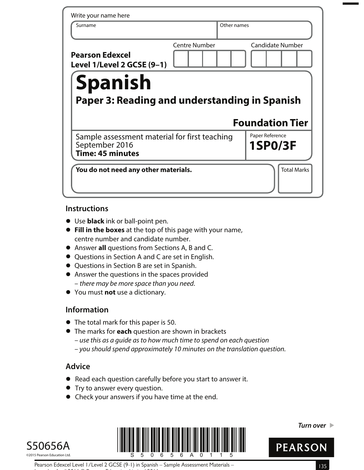| Write your name here                                                                |                      |             |                                   |  |  |
|-------------------------------------------------------------------------------------|----------------------|-------------|-----------------------------------|--|--|
| Surname                                                                             |                      | Other names |                                   |  |  |
| <b>Pearson Edexcel</b><br>Level 1/Level 2 GCSE (9-1)                                | <b>Centre Number</b> |             | <b>Candidate Number</b>           |  |  |
| <b>Spanish</b><br><b>Paper 3: Reading and understanding in Spanish</b>              |                      |             |                                   |  |  |
|                                                                                     |                      |             | <b>Foundation Tier</b>            |  |  |
| Sample assessment material for first teaching<br>September 2016<br>Time: 45 minutes |                      |             | Paper Reference<br><b>1SP0/3F</b> |  |  |

## **Instructions**

- **•** Use **black** ink or ball-point pen.
- **• Fill in the boxes** at the top of this page with your name, centre number and candidate number.
- **•** Answer **all** questions from Sections A, B and C.
- **•** Questions in Section A and C are set in English.
- **•** Questions in Section B are set in Spanish.
- **•** Answer the questions in the spaces provided – there may be more space than you need.
- **•** You must **not** use a dictionary.

# **Information**

- **•** The total mark for this paper is 50.
- **•** The marks for **each** question are shown in brackets
	- use this as a guide as to how much time to spend on each question
	- you should spend approximately 10 minutes on the translation question.

# **Advice**

- **•** Read each question carefully before you start to answer it.
- **•** Try to answer every question.
- **•** Check your answers if you have time at the end.





**Turn over** 



Pearson Edexcel Level 1/Level 2 GCSE (9-1) in Spanish – Sample Assessment Materials – 135 Issue 1 – April 2016 © Pearson Education Limited 2016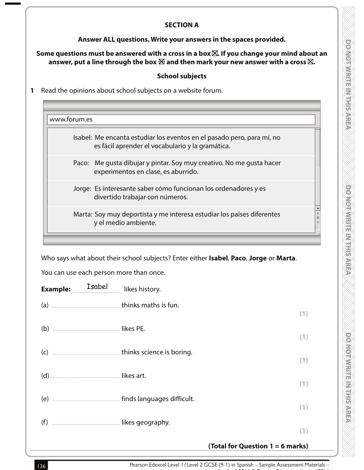#### **SECTION A**

#### **Answer ALL questions. Write your answers in the spaces provided.**

### Some questions must be answered with a cross in a box  $\boxtimes$ . If you change your mind about an answer, put a line through the box  $\boxtimes$  and then mark your new answer with a cross  $\boxtimes$ .

#### **School subjects**

**1** Read the opinions about school subjects on a website forum.

| Isabel: Me encanta estudiar los eventos en el pasado pero, para mí, no<br>es fácil aprender el vocabulario y la gramática. |
|----------------------------------------------------------------------------------------------------------------------------|
| Paco: Me gusta dibujar y pintar. Soy muy creativo. No me gusta hacer<br>experimentos en clase, es aburrido.                |
| Jorge: Es interesante saber cómo funcionan los ordenadores y es<br>divertido trabajar con números.                         |
| Marta: Soy muy deportista y me interesa estudiar los países diferentes<br>y el medio ambiente.                             |

| a)  |  |
|-----|--|
| (b) |  |
|     |  |

- 
- (d) …………………………………….……… likes art. **(1)** (e) …………………………………….……… finds languages difficult.
- **(1)** (f) …………………………………….……… likes geography.
	- **(1)**

**(1)**

**(1)**

**(1)**

# **(Total for Question 1 = 6 marks)**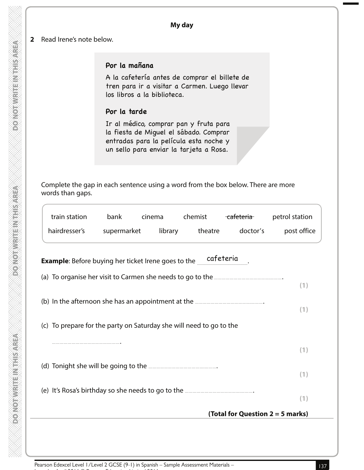#### **2** Read Irene's note below.

# **Por la mañana**

A la cafetería antes de comprar el billete de tren para ir a visitar a Carmen. Luego llevar los libros a la biblioteca.

# **Por la tarde**

Ir al médico, comprar pan y fruta para la fiesta de Miguel el sábado. Comprar entradas para la película esta noche y un sello para enviar la tarjeta a Rosa.

 Complete the gap in each sentence using a word from the box below. There are more words than gaps.

| train station                                                       | bank        | cinema | chemist         | <del>cafeteria</del>             | petrol station |
|---------------------------------------------------------------------|-------------|--------|-----------------|----------------------------------|----------------|
| hairdresser's                                                       | supermarket |        | library theatre | doctor's                         | post office    |
| <b>Example:</b> Before buying her ticket Irene goes to the          |             |        | cafeteria       |                                  |                |
|                                                                     |             |        |                 |                                  |                |
|                                                                     |             |        |                 |                                  | (1)            |
|                                                                     |             |        |                 |                                  | (1)            |
| (c) To prepare for the party on Saturday she will need to go to the |             |        |                 |                                  |                |
|                                                                     |             |        |                 |                                  | (1)            |
|                                                                     |             |        |                 |                                  | (1)            |
|                                                                     |             |        |                 |                                  |                |
|                                                                     |             |        |                 |                                  | (1)            |
|                                                                     |             |        |                 | (Total for Question 2 = 5 marks) |                |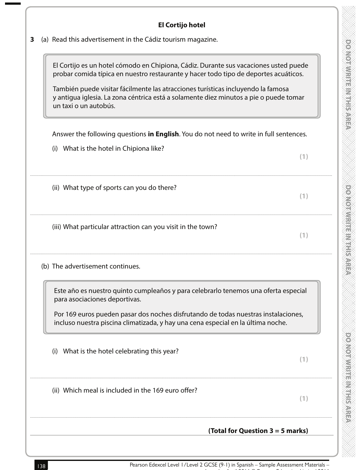| <b>El Cortijo hotel</b>                                                                                                                                                                                                                                                                                                                                                            |  |  |  |  |  |
|------------------------------------------------------------------------------------------------------------------------------------------------------------------------------------------------------------------------------------------------------------------------------------------------------------------------------------------------------------------------------------|--|--|--|--|--|
| (a) Read this advertisement in the Cádiz tourism magazine.                                                                                                                                                                                                                                                                                                                         |  |  |  |  |  |
| El Cortijo es un hotel cómodo en Chipiona, Cádiz. Durante sus vacaciones usted puede<br>probar comida típica en nuestro restaurante y hacer todo tipo de deportes acuáticos.<br>También puede visitar fácilmente las atracciones turísticas incluyendo la famosa<br>y antigua iglesia. La zona céntrica está a solamente diez minutos a pie o puede tomar<br>un taxi o un autobús. |  |  |  |  |  |
| Answer the following questions in English. You do not need to write in full sentences.                                                                                                                                                                                                                                                                                             |  |  |  |  |  |
| (i) What is the hotel in Chipiona like?<br>(1)                                                                                                                                                                                                                                                                                                                                     |  |  |  |  |  |
| (ii) What type of sports can you do there?<br>(1)                                                                                                                                                                                                                                                                                                                                  |  |  |  |  |  |
| (iii) What particular attraction can you visit in the town?<br>(1)                                                                                                                                                                                                                                                                                                                 |  |  |  |  |  |
| (b) The advertisement continues.                                                                                                                                                                                                                                                                                                                                                   |  |  |  |  |  |
| Este año es nuestro quinto cumpleaños y para celebrarlo tenemos una oferta especial<br>para asociaciones deportivas.<br>Por 169 euros pueden pasar dos noches disfrutando de todas nuestras instalaciones,<br>incluso nuestra piscina climatizada, y hay una cena especial en la última noche.                                                                                     |  |  |  |  |  |
| (i) What is the hotel celebrating this year?<br>(1)                                                                                                                                                                                                                                                                                                                                |  |  |  |  |  |
| (ii) Which meal is included in the 169 euro offer?<br>(1)                                                                                                                                                                                                                                                                                                                          |  |  |  |  |  |
| (Total for Question $3 = 5$ marks)                                                                                                                                                                                                                                                                                                                                                 |  |  |  |  |  |

**138** Pearson Edexcel Level 1/Level 2 GCSE (9-1) in Spanish – Sample Assessment Materials –

Issue 1 – April 2016 © Pearson Education Limited 2016

powerwith the Williams

DO NOT MERITE IN THIS AREA

**DOMOTHER WEBSTERS**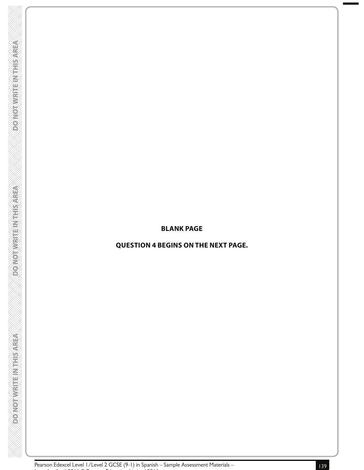#### **BLANK PAGE**

# **QUESTION 4 BEGINS ON THE NEXT PAGE.**

**DOONOTWRITENTHIS AREA** 

**PONOTWRITE INTHISAREA** 

**DONOTWRITEINTHIS AREA**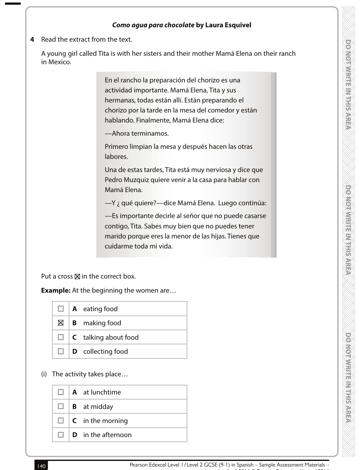# **ONORWEIGHT CONTROL**

#### **Como agua para chocolate by Laura Esquivel**

**4** Read the extract from the text.

 A young girl called Tita is with her sisters and their mother Mamá Elena on their ranch in Mexico.

> En el rancho la preparación del chorizo es una actividad importante. Mamá Elena, Tita y sus hermanas, todas están allí. Están preparando el chorizo por la tarde en la mesa del comedor y están hablando. Finalmente, Mamá Elena dice:

—Ahora terminamos.

Primero limpian la mesa y después hacen las otras labores.

Una de estas tardes, Tita está muy nerviosa y dice que Pedro Muzquiz quiere venir a la casa para hablar con Mamá Elena.

—Y ¿ qué quiere?—dice Mamá Elena. Luego continúa:

—Es importante decirle al señor que no puede casarse contigo, Tita. Sabes muy bien que no puedes tener marido porque eres la menor de las hijas. Tienes que cuidarme toda mi vida.

Put a cross  $\boxtimes$  in the correct box.

**Example:** At the beginning the women are...

|  | $\blacksquare$   <b>A</b> eating food      |
|--|--------------------------------------------|
|  | $\boxtimes$   <b>B</b> making food         |
|  | $\blacksquare$ <b>C</b> talking about food |
|  | $\Box$ <b>D</b> collecting food            |

(i) The activity takes place…

|                | $\mathbb{N}$   <b>A</b> at lunchtime |
|----------------|--------------------------------------|
|                | $\Box$ <b>B</b> at midday            |
|                | $\Box$ <b>C</b> in the morning       |
| $\mathbb{N}$ 1 | <b>D</b> in the afternoon            |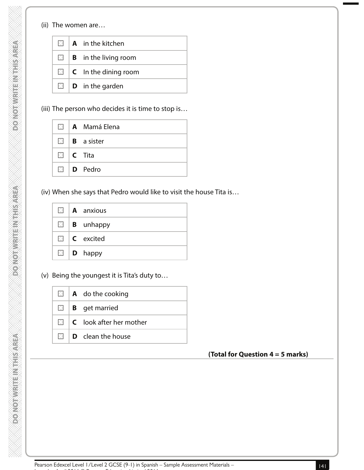#### (ii) The women are…

**DOMOTHULLING TAREA** 

**PONOTWEITEINTHIS AREA** 

| $\times$ 1  | <b>A</b> in the kitchen                    |
|-------------|--------------------------------------------|
|             | $\mathbb{Z}$   <b>B</b> in the living room |
|             | $\Box$ <b>C</b> In the dining room         |
| $\boxtimes$ | $\mathbf D$ in the garden                  |

(iii) The person who decides it is time to stop is…

|  | $\blacksquare$   A Mamá Elena    |
|--|----------------------------------|
|  | $\blacksquare$ <b>B</b> a sister |
|  | $\Box$   C Tita                  |
|  | $\blacksquare$   <b>D</b> Pedro  |

(iv) When she says that Pedro would like to visit the house Tita is…

|  | $\blacksquare$   <b>A</b> anxious |
|--|-----------------------------------|
|  | $\Box$ <b>B</b> unhappy           |
|  | $\Box$ $\Box$ excited             |
|  | $\Box$   <b>D</b> happy           |

(v) Being the youngest it is Tita's duty to…

|  | $\Box$   <b>A</b> do the cooking                    |
|--|-----------------------------------------------------|
|  | $\Box$ <b>B</b> get married                         |
|  | $\boxtimes$ $\blacksquare$ LC look after her mother |
|  | $\boxtimes$ $\blacksquare$ D clean the house        |

# **(Total for Question 4 = 5 marks)**

Issue 1 – April 2016 © Pearson Education Limited 2016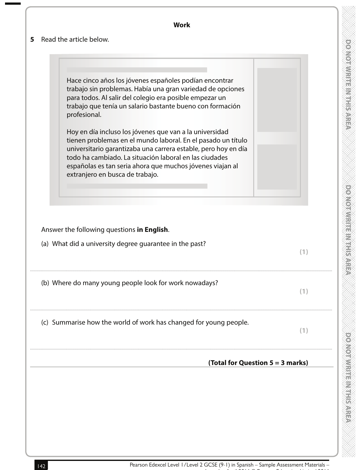| 5. | <b>Work</b><br>Read the article below.                                                                                                                                                                                                                                                                                                              |                                    |
|----|-----------------------------------------------------------------------------------------------------------------------------------------------------------------------------------------------------------------------------------------------------------------------------------------------------------------------------------------------------|------------------------------------|
|    |                                                                                                                                                                                                                                                                                                                                                     |                                    |
|    | Hace cinco años los jóvenes españoles podían encontrar<br>trabajo sin problemas. Había una gran variedad de opciones<br>para todos. Al salir del colegio era posible empezar un<br>trabajo que tenía un salario bastante bueno con formación<br>profesional.                                                                                        |                                    |
|    | Hoy en día incluso los jóvenes que van a la universidad<br>tienen problemas en el mundo laboral. En el pasado un título<br>universitario garantizaba una carrera estable, pero hoy en día<br>todo ha cambiado. La situación laboral en las ciudades<br>españolas es tan seria ahora que muchos jóvenes viajan al<br>extranjero en busca de trabajo. |                                    |
|    | Answer the following questions in English.<br>(a) What did a university degree guarantee in the past?                                                                                                                                                                                                                                               | (1)                                |
|    | (b) Where do many young people look for work nowadays?                                                                                                                                                                                                                                                                                              | (1)                                |
|    | (c) Summarise how the world of work has changed for young people.                                                                                                                                                                                                                                                                                   | (1)                                |
|    |                                                                                                                                                                                                                                                                                                                                                     | (Total for Question $5 = 3$ marks) |
|    |                                                                                                                                                                                                                                                                                                                                                     |                                    |

Issue 1 – April 2016 © Pearson Education Limited 2016

powerfwaring the system

**DONOMIAL RESERVED** 

powerwith the with system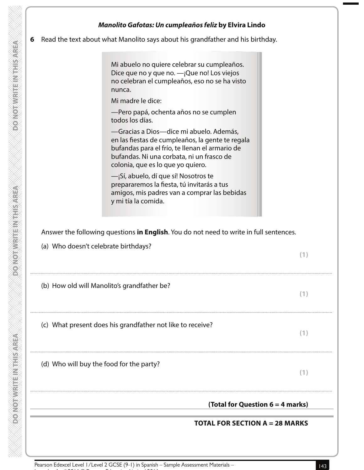| Read the text about what Manolito says about his grandfather and his birthday.                                                                                                                                                  |
|---------------------------------------------------------------------------------------------------------------------------------------------------------------------------------------------------------------------------------|
| Mi abuelo no quiere celebrar su cumpleaños.<br>Dice que no y que no. - ¡Que no! Los viejos<br>no celebran el cumpleaños, eso no se ha visto<br>nunca.                                                                           |
| Mi madre le dice:                                                                                                                                                                                                               |
| -Pero papá, ochenta años no se cumplen<br>todos los días.                                                                                                                                                                       |
| -Gracias a Dios-dice mi abuelo. Además,<br>en las fiestas de cumpleaños, la gente te regala<br>bufandas para el frío, te llenan el armario de<br>bufandas. Ni una corbata, ni un frasco de<br>colonia, que es lo que yo quiero. |
| -jSí, abuelo, dí que sí! Nosotros te<br>prepararemos la fiesta, tú invitarás a tus<br>amigos, mis padres van a comprar las bebidas<br>y mi tía la comida.                                                                       |
|                                                                                                                                                                                                                                 |
|                                                                                                                                                                                                                                 |
| Answer the following questions in English. You do not need to write in full sentences.                                                                                                                                          |
| (a) Who doesn't celebrate birthdays?                                                                                                                                                                                            |
| (b) How old will Manolito's grandfather be?                                                                                                                                                                                     |
| (1)<br>(1)                                                                                                                                                                                                                      |
| (c) What present does his grandfather not like to receive?                                                                                                                                                                      |
| (1)                                                                                                                                                                                                                             |
| (d) Who will buy the food for the party?<br>(1)                                                                                                                                                                                 |

Issue 1 – April 2016 © Pearson Education Limited 2016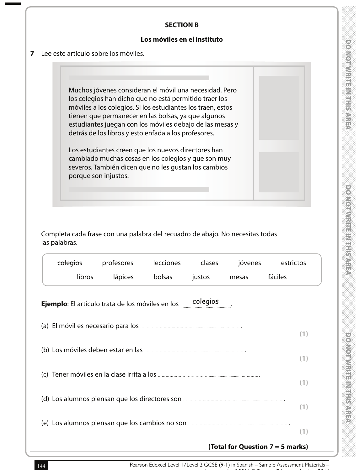#### **SECTION B**

#### **Los móviles en el instituto**

**7** Lee este artículo sobre los móviles.

Muchos jóvenes consideran el móvil una necesidad. Pero los colegios han dicho que no está permitido traer los móviles a los colegios. Si los estudiantes los traen, estos tienen que permanecer en las bolsas, ya que algunos estudiantes juegan con los móviles debajo de las mesas y detrás de los libros y esto enfada a los profesores.

Los estudiantes creen que los nuevos directores han cambiado muchas cosas en los colegios y que son muy severos. También dicen que no les gustan los cambios porque son injustos.

 Completa cada frase con una palabra del recuadro de abajo. No necesitas todas las palabras.

| colegios                                                | profesores | lecciones | clases   | jóvenes | estrictos |     |
|---------------------------------------------------------|------------|-----------|----------|---------|-----------|-----|
| libros                                                  | lápices    | bolsas    | justos   | mesas   | fáciles   |     |
| <b>Ejemplo:</b> El artículo trata de los móviles en los |            |           | colegios |         |           |     |
|                                                         |            |           |          |         |           | (1) |
|                                                         |            |           |          |         |           |     |
|                                                         |            |           |          |         |           | (1) |
|                                                         |            |           |          |         |           |     |
|                                                         |            |           |          |         |           |     |
|                                                         |            |           |          |         |           |     |

## **(Total for Question 7 = 5 marks)**

**PONONWEIGHT PERSONS**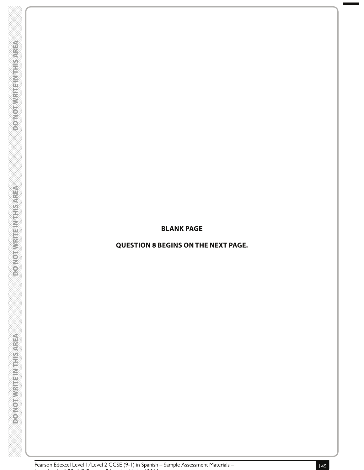#### **BLANK PAGE**

# **QUESTION 8 BEGINS ON THE NEXT PAGE.**

Issue 1 – April 2016 © Pearson Education Limited 2016

**DOONOTWRITENTHIS AREA** 

**PONOTWRITE INTHISAREA** 

**DONOTWRITEINTHIS AREA**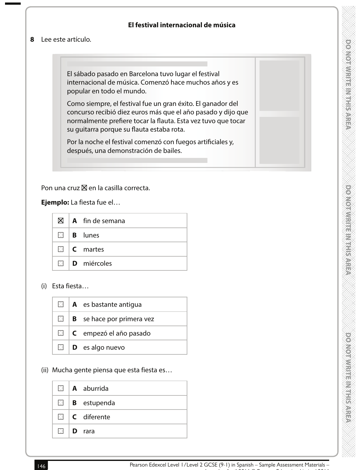# **El festival internacional de música**

#### **8** Lee este artículo.

El sábado pasado en Barcelona tuvo lugar el festival internacional de música. Comenzó hace muchos años y es popular en todo el mundo.

Como siempre, el festival fue un gran éxito. El ganador del concurso recibió diez euros más que el año pasado y dijo que normalmente prefiere tocar la flauta. Esta vez tuvo que tocar su guitarra porque su flauta estaba rota.

Por la noche el festival comenzó con fuegos artificiales y, después, una demonstración de bailes.

Pon una cruz  $\boxtimes$  en la casilla correcta.

#### **Ejemplo:** La fiesta fue el…

| $\boxtimes$ | <b>A</b> fin de semana           |
|-------------|----------------------------------|
|             | $\boxtimes$   <b>B</b> lunes     |
|             | $\blacksquare$   <b>C</b> martes |
|             | $\blacksquare$ D miércoles       |

(i) Esta fiesta…

| $\times$ 1     | <b>A</b> es bastante antigua     |
|----------------|----------------------------------|
| $\times$ 1     | <b>B</b> se hace por primera vez |
| $\mathbb{N}$   | C empezó el año pasado           |
| $\mathbb{N}$ i | <b>D</b> es algo nuevo           |

(ii) Mucha gente piensa que esta fiesta es…

|  | $\blacksquare$   A aburrida      |
|--|----------------------------------|
|  | $\boxtimes$   <b>B</b> estupenda |
|  | $\boxtimes$   <b>C</b> diferente |
|  | $\mathbb{N}$   <b>D</b> rara     |

Issue 1 – April 2016 © Pearson Education Limited 2016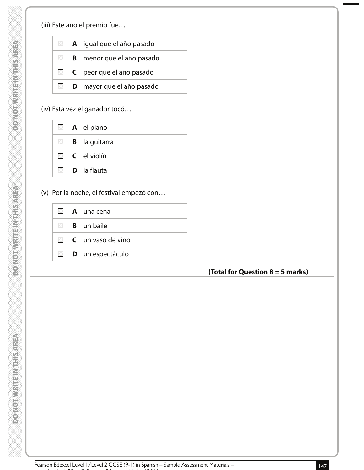**DONOTWRITEINTHISAREA** 

**DO NOTWRITEIN THIS AREA** 

(iii) Este año el premio fue…

|           | $\Box$   <b>A</b> igual que el año pasado |
|-----------|-------------------------------------------|
|           | $\Box$ <b>B</b> menor que el año pasado   |
|           | $\Box$   C peor que el año pasado         |
| <b>XI</b> | D mayor que el año pasado                 |

# (iv) Esta vez el ganador tocó…

|               | $\Box$   <b>A</b> el piano      |
|---------------|---------------------------------|
| $\boxtimes$ 1 | <b>B</b> la guitarra            |
|               | $\Box$ $\Box$ $\Box$ el violín  |
|               | $\mathbb{N}$ <b>D</b> la flauta |

(v) Por la noche, el festival empezó con…

|   | $\boxtimes$   <b>A</b> una cena           |
|---|-------------------------------------------|
|   | $\blacksquare$   <b>B</b> un baile        |
|   | $\mathbb{N}$ $\mathsf{C}$ un vaso de vino |
| X | $\vert$ <b>D</b> un espectáculo           |

# **(Total for Question 8 = 5 marks)**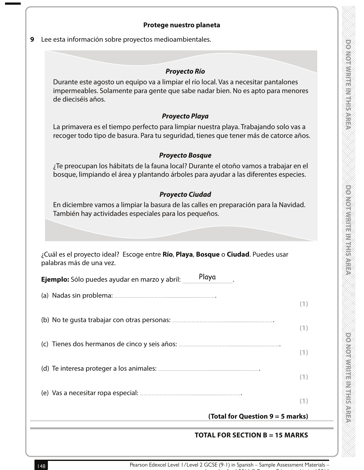# **POSTER IN EARTH MADE ROOM**

#### **Protege nuestro planeta**

**9** Lee esta información sobre proyectos medioambientales.

#### **Proyecto Río**

Durante este agosto un equipo va a limpiar el río local. Vas a necesitar pantalones impermeables. Solamente para gente que sabe nadar bien. No es apto para menores de dieciséis años.

#### **Proyecto Playa**

La primavera es el tiempo perfecto para limpiar nuestra playa. Trabajando solo vas a recoger todo tipo de basura. Para tu seguridad, tienes que tener más de catorce años.

#### **Proyecto Bosque**

¿Te preocupan los hábitats de la fauna local? Durante el otoño vamos a trabajar en el bosque, limpiando el área y plantando árboles para ayudar a las diferentes especies.

#### **Proyecto Ciudad**

En diciembre vamos a limpiar la basura de las calles en preparación para la Navidad. También hay actividades especiales para los pequeños.

| ¿Cuál es el proyecto ideal? Escoge entre Río, Playa, Bosque o Ciudad. Puedes usar |  |  |
|-----------------------------------------------------------------------------------|--|--|
| palabras más de una vez.                                                          |  |  |

| Ejemplo: Sólo puedes ayudar en marzo y abril: | Playa                              |
|-----------------------------------------------|------------------------------------|
|                                               |                                    |
|                                               |                                    |
|                                               |                                    |
|                                               |                                    |
|                                               |                                    |
|                                               | (Total for Question $9 = 5$ marks) |

## **TOTAL FOR SECTION B = 15 MARKS**